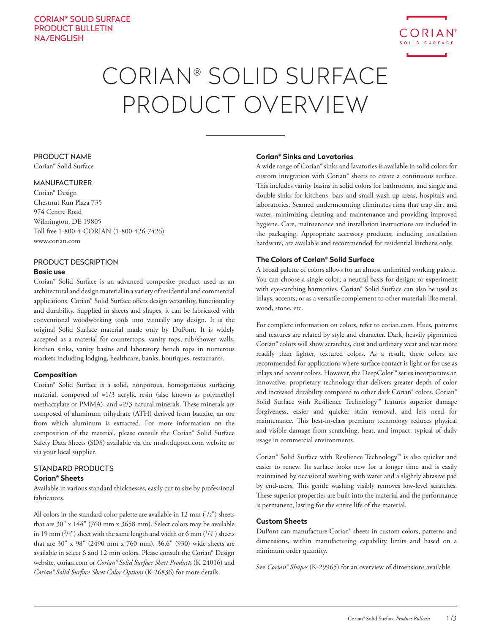

# CORIAN® SOLID SURFACE PRODUCT OVERVIEW

# PRODUCT NAME

Corian® Solid Surface

# MANUFACTURER

Corian® Design Chestnut Run Plaza 735 974 Centre Road Wilmington, DE 19805 Toll free 1-800-4-CORIAN (1-800-426-7426) www.corian.com

# PRODUCT DESCRIPTION

# **Basic use**

Corian® Solid Surface is an advanced composite product used as an architectural and design material in a variety of residential and commercial applications. Corian® Solid Surface offers design versatility, functionality and durability. Supplied in sheets and shapes, it can be fabricated with conventional woodworking tools into virtually any design. It is the original Solid Surface material made only by DuPont. It is widely accepted as a material for countertops, vanity tops, tub/shower walls, kitchen sinks, vanity basins and laboratory bench tops in numerous markets including lodging, healthcare, banks, boutiques, restaurants.

# **Composition**

Corian® Solid Surface is a solid, nonporous, homogeneous surfacing material, composed of ≈1/3 acrylic resin (also known as polymethyl methacrylate or PMMA), and ≈2/3 natural minerals. These minerals are composed of aluminum trihydrate (ATH) derived from bauxite, an ore from which aluminum is extracted. For more information on the composition of the material, please consult the Corian® Solid Surface Safety Data Sheets (SDS) available via the msds.dupont.com website or via your local supplier.

# STANDARD PRODUCTS

# **Corian® Sheets**

Available in various standard thicknesses, easily cut to size by professional fabricators.

All colors in the standard color palette are available in  $12 \text{ mm } (^{1}/2")$  sheets that are 30" x 144" (760 mm x 3658 mm). Select colors may be available in 19 mm  $(3/4")$  sheet with the same length and width or 6 mm  $(1/4")$  sheets that are 30" x 98" (2490 mm x 760 mm). 36.6" (930) wide sheets are available in select 6 and 12 mm colors. Please consult the Corian® Design website, corian.com or *Corian® Solid Surface Sheet Products* (K-24016) and *Corian® Solid Surface Sheet Color Options* (K-26836) for more details.

# **Corian® Sinks and Lavatories**

A wide range of Corian® sinks and lavatories is available in solid colors for custom integration with Corian® sheets to create a continuous surface. This includes vanity basins in solid colors for bathrooms, and single and double sinks for kitchens, bars and small wash-up areas, hospitals and laboratories. Seamed undermounting eliminates rims that trap dirt and water, minimizing cleaning and maintenance and providing improved hygiene. Care, maintenance and installation instructions are included in the packaging. Appropriate accessory products, including installation hardware, are available and recommended for residential kitchens only.

# **The Colors of Corian® Solid Surface**

A broad palette of colors allows for an almost unlimited working palette. You can choose a single color; a neutral basis for design; or experiment with eye-catching harmonies. Corian® Solid Surface can also be used as inlays, accents, or as a versatile complement to other materials like metal, wood, stone, etc.

For complete information on colors, refer to corian.com. Hues, patterns and textures are related by style and character. Dark, heavily pigmented Corian® colors will show scratches, dust and ordinary wear and tear more readily than lighter, textured colors. As a result, these colors are recommended for applications where surface contact is light or for use as inlays and accent colors. However, the DeepColor™ series incorporates an innovative, proprietary technology that delivers greater depth of color and increased durability compared to other dark Corian® colors. Corian® Solid Surface with Resilience Technology™ features superior damage forgiveness, easier and quicker stain removal, and less need for maintenance. This best-in-class premium technology reduces physical and visible damage from scratching, heat, and impact, typical of daily usage in commercial environments.

Corian® Solid Surface with Resilience Technology™ is also quicker and easier to renew. Its surface looks new for a longer time and is easily maintained by occasional washing with water and a slightly abrasive pad by end-users. This gentle washing visibly removes low-level scratches. These superior properties are built into the material and the performance is permanent, lasting for the entire life of the material.

# **Custom Sheets**

DuPont can manufacture Corian® sheets in custom colors, patterns and dimensions, within manufacturing capability limits and based on a minimum order quantity.

See *Corian® Shapes* (K-29965) for an overview of dimensions available.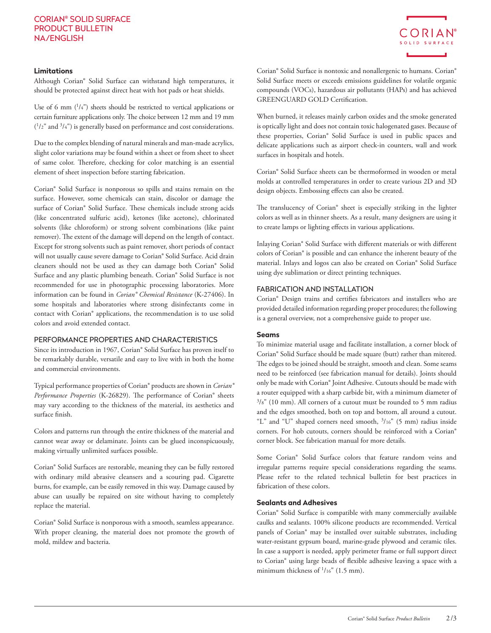### **Limitations**

Although Corian® Solid Surface can withstand high temperatures, it should be protected against direct heat with hot pads or heat shields.

Use of 6 mm  $(^{1}/4"$ ) sheets should be restricted to vertical applications or certain furniture applications only. The choice between 12 mm and 19 mm  $(^{1}/2"$  and  $^{3}/4"$ ) is generally based on performance and cost considerations.

Due to the complex blending of natural minerals and man-made acrylics, slight color variations may be found within a sheet or from sheet to sheet of same color. Therefore, checking for color matching is an essential element of sheet inspection before starting fabrication.

Corian® Solid Surface is nonporous so spills and stains remain on the surface. However, some chemicals can stain, discolor or damage the surface of Corian® Solid Surface. These chemicals include strong acids (like concentrated sulfuric acid), ketones (like acetone), chlorinated solvents (like chloroform) or strong solvent combinations (like paint remover). The extent of the damage will depend on the length of contact. Except for strong solvents such as paint remover, short periods of contact will not usually cause severe damage to Corian® Solid Surface. Acid drain cleaners should not be used as they can damage both Corian® Solid Surface and any plastic plumbing beneath. Corian® Solid Surface is not recommended for use in photographic processing laboratories. More information can be found in *Corian® Chemical Resistance* (K-27406). In some hospitals and laboratories where strong disinfectants come in contact with Corian® applications, the recommendation is to use solid colors and avoid extended contact.

# PERFORMANCE PROPERTIES AND CHARACTERISTICS

Since its introduction in 1967, Corian® Solid Surface has proven itself to be remarkably durable, versatile and easy to live with in both the home and commercial environments.

Typical performance properties of Corian® products are shown in *Corian® Performance Properties* (K-26829). The performance of Corian® sheets may vary according to the thickness of the material, its aesthetics and surface finish.

Colors and patterns run through the entire thickness of the material and cannot wear away or delaminate. Joints can be glued inconspicuously, making virtually unlimited surfaces possible.

Corian® Solid Surfaces are restorable, meaning they can be fully restored with ordinary mild abrasive cleansers and a scouring pad. Cigarette burns, for example, can be easily removed in this way. Damage caused by abuse can usually be repaired on site without having to completely replace the material.

Corian® Solid Surface is nonporous with a smooth, seamless appearance. With proper cleaning, the material does not promote the growth of mold, mildew and bacteria.

Corian® Solid Surface is nontoxic and nonallergenic to humans. Corian® Solid Surface meets or exceeds emissions guidelines for volatile organic compounds (VOCs), hazardous air pollutants (HAPs) and has achieved GREENGUARD GOLD Certification.

CORIAN SOLID SURFACE

When burned, it releases mainly carbon oxides and the smoke generated is optically light and does not contain toxic halogenated gases. Because of these properties, Corian® Solid Surface is used in public spaces and delicate applications such as airport check-in counters, wall and work surfaces in hospitals and hotels.

Corian® Solid Surface sheets can be thermoformed in wooden or metal molds at controlled temperatures in order to create various 2D and 3D design objects. Embossing effects can also be created.

The translucency of Corian® sheet is especially striking in the lighter colors as well as in thinner sheets. As a result, many designers are using it to create lamps or lighting effects in various applications.

Inlaying Corian® Solid Surface with different materials or with different colors of Corian® is possible and can enhance the inherent beauty of the material. Inlays and logos can also be created on Corian® Solid Surface using dye sublimation or direct printing techniques.

# FABRICATION AND INSTALLATION

Corian® Design trains and certifies fabricators and installers who are provided detailed information regarding proper procedures; the following is a general overview, not a comprehensive guide to proper use.

## **Seams**

To minimize material usage and facilitate installation, a corner block of Corian® Solid Surface should be made square (butt) rather than mitered. The edges to be joined should be straight, smooth and clean. Some seams need to be reinforced (see fabrication manual for details). Joints should only be made with Corian® Joint Adhesive. Cutouts should be made with a router equipped with a sharp carbide bit, with a minimum diameter of  $3/s$ " (10 mm). All corners of a cutout must be rounded to 5 mm radius and the edges smoothed, both on top and bottom, all around a cutout. "L" and "U" shaped corners need smooth, 3/16" (5 mm) radius inside corners. For hob cutouts, corners should be reinforced with a Corian® corner block. See fabrication manual for more details.

Some Corian® Solid Surface colors that feature random veins and irregular patterns require special considerations regarding the seams. Please refer to the related technical bulletin for best practices in fabrication of these colors.

# **Sealants and Adhesives**

Corian® Solid Surface is compatible with many commercially available caulks and sealants. 100% silicone products are recommended. Vertical panels of Corian® may be installed over suitable substrates, including water-resistant gypsum board, marine-grade plywood and ceramic tiles. In case a support is needed, apply perimeter frame or full support direct to Corian® using large beads of flexible adhesive leaving a space with a minimum thickness of  $\frac{1}{16}$ " (1.5 mm).